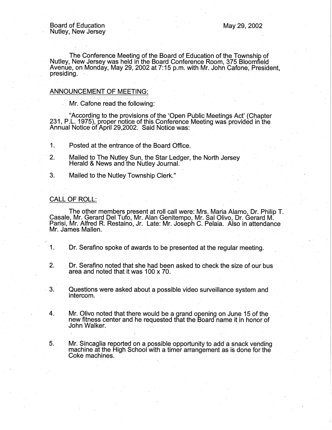The Conference Meeting of the Board of Education of the Township of Nutley, New Jersey was held in the Board Conference Room, 375 Bloomfield Avenue, on Monday, May 29, 2002 at 7:15 p.m. with Mr. John Catone, President, presiding.

## ANNOUNCEMENT OF MEETING:

Mr. Cafone read the following:

"According to the provisions of the 'Open Public Meetings Act' (Chapter 231, P.L. 1975), proper notice of this Conference Meeting was provided in the Annual Notice of April 29,2002. Said Notice was:

1. Posted at the entrance of the Board Office.

- · 2. Mailed to The Nutley Sun, the Star Ledger, the North Jersey Herald -& News and the Nutley Journal. .
- 3. Mailed to the Nutley Township Clerk."

## CALL OF ROLL:

The other members present at roll call were: Mrs. Maria Alamo, Dr. Philip T. Casale, Mr. Gerard Del Tufo, Mr. Alan Genitempo, Mr. Sal Olivo, Dr. Gerard M. Parisi, Mr. Alfred R. Restaino, Jr. Late: Mr. Joseph C. Pelaia. Also in attendance Mr. James Mallen. **And Allen Structure Community** and *Structure Community and Community* and *Structure Community* and *Community* and *Community* and *Community* and *Community* and *Community* and *Community* and *Commu* 

- 1. Dr. Serafino spoke of awards to be presented at the regular meeting.
- 2. Dr. Serafino noted that she had been asked to check the size of our bus area and noted that it was 100 x 70.
- . 3. Questions were asked about a possible video surveillance system and intercom.
- 4. Mr. Olivo noted that there would be a grand opening on June 15 of the new fitness center and he requested that the Board- name it in honor of John Walker.
- 5. Mr. Sincaglia reported on a possible opportunity to add a snack vending machine at the High School with a timer arrangement as is done for the Coke machines.